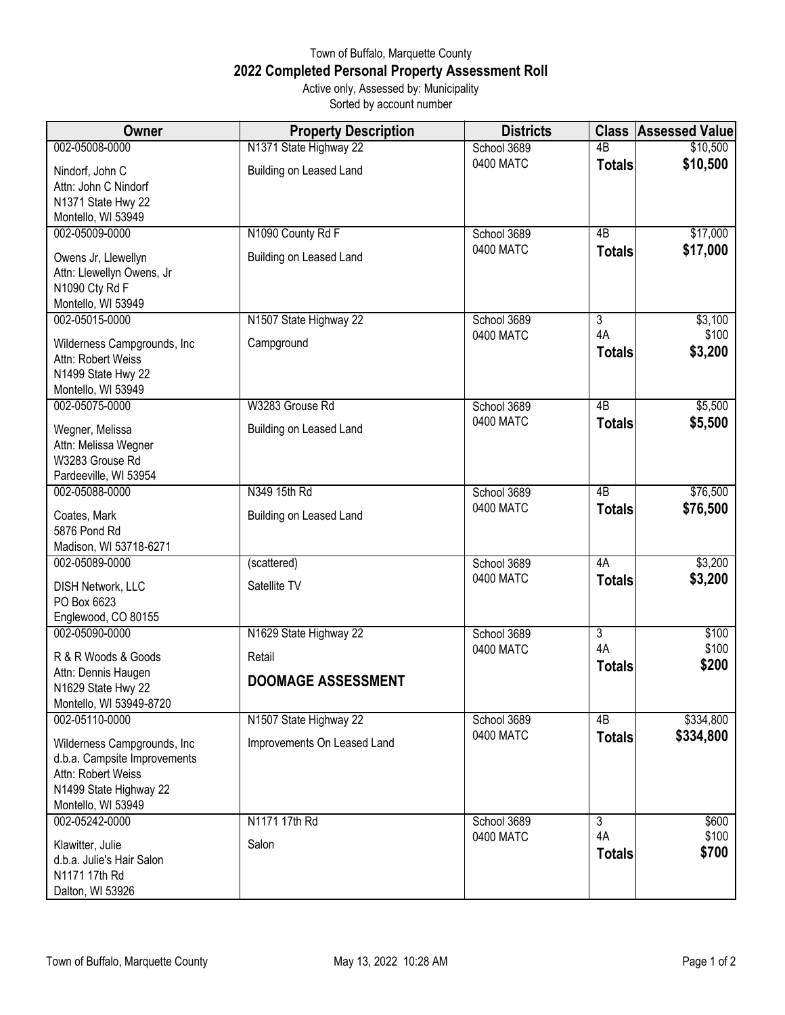## Town of Buffalo, Marquette County **2022 Completed Personal Property Assessment Roll** Active only, Assessed by: Municipality

Sorted by account number

| Owner                                                                                              | <b>Property Description</b>                           | <b>Districts</b>         | <b>Class</b>        | <b>Assessed Value</b>  |
|----------------------------------------------------------------------------------------------------|-------------------------------------------------------|--------------------------|---------------------|------------------------|
| 002-05008-0000                                                                                     | N1371 State Highway 22                                | School 3689              | $\overline{AB}$     | \$10,500               |
| Nindorf, John C<br>Attn: John C Nindorf<br>N1371 State Hwy 22<br>Montello, WI 53949                | Building on Leased Land                               | 0400 MATC                | <b>Totals</b>       | \$10,500               |
| 002-05009-0000                                                                                     | N1090 County Rd F                                     | School 3689              | 4B                  | \$17,000               |
| Owens Jr, Llewellyn<br>Attn: Llewellyn Owens, Jr<br>N1090 Cty Rd F<br>Montello, WI 53949           | Building on Leased Land                               | 0400 MATC                | <b>Totals</b>       | \$17,000               |
| 002-05015-0000                                                                                     | N1507 State Highway 22                                | School 3689              | 3                   | \$3,100                |
| Wilderness Campgrounds, Inc.<br>Attn: Robert Weiss<br>N1499 State Hwy 22<br>Montello, WI 53949     | Campground                                            | 0400 MATC                | 4A<br><b>Totals</b> | \$100<br>\$3,200       |
| 002-05075-0000                                                                                     | W3283 Grouse Rd                                       | School 3689              | $\overline{AB}$     | \$5,500                |
| Wegner, Melissa<br>Attn: Melissa Wegner<br>W3283 Grouse Rd<br>Pardeeville, WI 53954                | Building on Leased Land                               | 0400 MATC                | <b>Totals</b>       | \$5,500                |
| 002-05088-0000                                                                                     | N349 15th Rd                                          | School 3689              | 4B                  | \$76,500               |
| Coates, Mark<br>5876 Pond Rd<br>Madison, WI 53718-6271                                             | Building on Leased Land                               | 0400 MATC                | <b>Totals</b>       | \$76,500               |
| 002-05089-0000                                                                                     | (scattered)                                           | School 3689              | 4A                  | \$3,200                |
| <b>DISH Network, LLC</b><br>PO Box 6623<br>Englewood, CO 80155                                     | Satellite TV                                          | 0400 MATC                | <b>Totals</b>       | \$3,200                |
| 002-05090-0000                                                                                     | N1629 State Highway 22                                | School 3689              | 3                   | \$100                  |
| R & R Woods & Goods<br>Attn: Dennis Haugen<br>N1629 State Hwy 22                                   | Retail<br><b>DOOMAGE ASSESSMENT</b>                   | 0400 MATC                | 4A<br><b>Totals</b> | \$100<br>\$200         |
| Montello, WI 53949-8720                                                                            |                                                       |                          |                     |                        |
| 002-05110-0000<br>Wilderness Campgrounds, Inc                                                      | N1507 State Highway 22<br>Improvements On Leased Land | School 3689<br>0400 MATC | 4B<br><b>Totals</b> | \$334,800<br>\$334,800 |
| d.b.a. Campsite Improvements<br>Attn: Robert Weiss<br>N1499 State Highway 22<br>Montello, WI 53949 |                                                       |                          |                     |                        |
| 002-05242-0000                                                                                     | N1171 17th Rd                                         | School 3689              | $\overline{3}$      | \$600                  |
| Klawitter, Julie<br>d.b.a. Julie's Hair Salon<br>N1171 17th Rd<br>Dalton, WI 53926                 | Salon                                                 | 0400 MATC                | 4A<br><b>Totals</b> | \$100<br>\$700         |